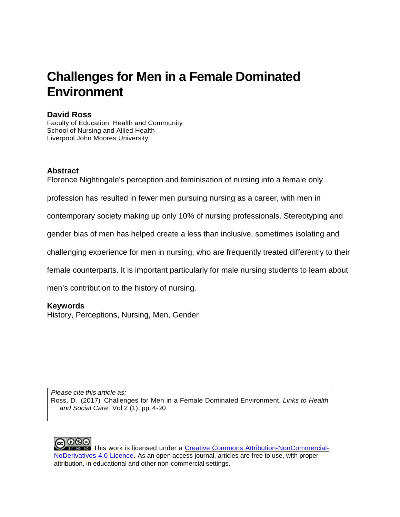# **Challenges for Men in a Female Dominated Environment**

## **David Ross**

Faculty of Education, Health and Community School of Nursing and Allied Health Liverpool John Moores University

## **Abstract**

Florence Nightingale's perception and feminisation of nursing into a female only

profession has resulted in fewer men pursuing nursing as a career, with men in

contemporary society making up only 10% of nursing professionals. Stereotyping and

gender bias of men has helped create a less than inclusive, sometimes isolating and

challenging experience for men in nursing, who are frequently treated differently to their

female counterparts. It is important particularly for male nursing students to learn about

men's contribution to the history of nursing.

# **Keywords**

History, Perceptions, Nursing, Men, Gender

*Please cite this article as:* Ross, D. (2017) Challenges for Men in a Female Dominated Environment. *Links to Health and Social Care* Vol 2 (1), pp. 4 -20

**ଇ ଡ**େ **EXT RG NO This work is licensed under a Creative Commons [Attribution-NonCommercial-](http://creativecommons.org/licenses/by-nc-nd/4.0/)**[NoDerivatives](http://creativecommons.org/licenses/by-nc-nd/4.0/) 4.0 Licence. As an open access journal, articles are free to use, with proper attribution, in educational and other non‐commercial settings.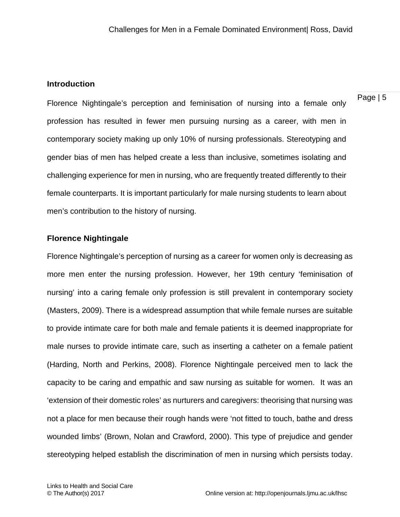#### **Introduction**

Page | 5

Florence Nightingale's perception and feminisation of nursing into a female only profession has resulted in fewer men pursuing nursing as a career, with men in contemporary society making up only 10% of nursing professionals. Stereotyping and gender bias of men has helped create a less than inclusive, sometimes isolating and challenging experience for men in nursing, who are frequently treated differently to their female counterparts. It is important particularly for male nursing students to learn about men's contribution to the history of nursing.

## **Florence Nightingale**

Florence Nightingale's perception of nursing as a career for women only is decreasing as more men enter the nursing profession. However, her 19th century 'feminisation of nursing' into a caring female only profession is still prevalent in contemporary society (Masters, 2009). There is a widespread assumption that while female nurses are suitable to provide intimate care for both male and female patients it is deemed inappropriate for male nurses to provide intimate care, such as inserting a catheter on a female patient (Harding, North and Perkins, 2008). Florence Nightingale perceived men to lack the capacity to be caring and empathic and saw nursing as suitable for women. It was an 'extension of their domestic roles' as nurturers and caregivers: theorising that nursing was not a place for men because their rough hands were 'not fitted to touch, bathe and dress wounded limbs' (Brown, Nolan and Crawford, 2000). This type of prejudice and gender stereotyping helped establish the discrimination of men in nursing which persists today.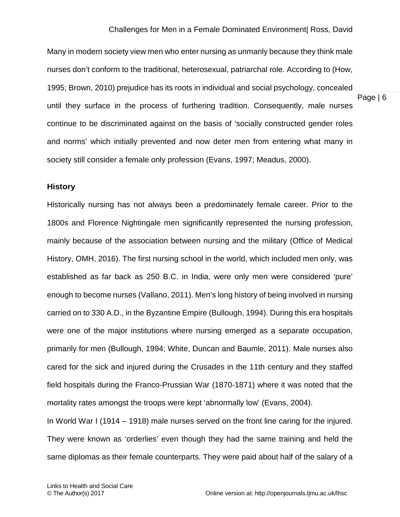Page | 6 Many in modern society view men who enter nursing as unmanly because they think male nurses don't conform to the traditional, heterosexual, patriarchal role. According to (How, 1995; Brown, 2010) prejudice has its roots in individual and social psychology, concealed until they surface in the process of furthering tradition. Consequently, male nurses continue to be discriminated against on the basis of 'socially constructed gender roles and norms' which initially prevented and now deter men from entering what many in society still consider a female only profession (Evans, 1997; Meadus, 2000).

#### **History**

Historically nursing has not always been a predominately female career. Prior to the 1800s and Florence Nightingale men significantly represented the nursing profession, mainly because of the association between nursing and the military (Office of Medical History, OMH, 2016). The first nursing school in the world, which included men only, was established as far back as 250 B.C. in India, were only men were considered 'pure' enough to become nurses (Vallano, 2011). Men's long history of being involved in nursing carried on to 330 A.D., in the Byzantine Empire (Bullough, 1994). During this era hospitals were one of the major institutions where nursing emerged as a separate occupation, primarily for men (Bullough, 1994; White, Duncan and Baumle, 2011). Male nurses also cared for the sick and injured during the Crusades in the 11th century and they staffed field hospitals during the Franco-Prussian War (1870-1871) where it was noted that the mortality rates amongst the troops were kept 'abnormally low' (Evans, 2004).

In World War I (1914 – 1918) male nurses served on the front line caring for the injured. They were known as 'orderlies' even though they had the same training and held the same diplomas as their female counterparts. They were paid about half of the salary of a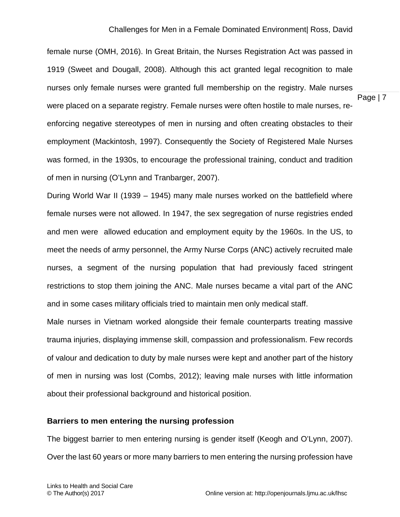female nurse (OMH, 2016). In Great Britain, the Nurses Registration Act was passed in 1919 (Sweet and Dougall, 2008). Although this act granted legal recognition to male nurses only female nurses were granted full membership on the registry. Male nurses were placed on a separate registry. Female nurses were often hostile to male nurses, reenforcing negative stereotypes of men in nursing and often creating obstacles to their employment (Mackintosh, 1997). Consequently the Society of Registered Male Nurses was formed, in the 1930s, to encourage the professional training, conduct and tradition of men in nursing (O'Lynn and Tranbarger, 2007).

During World War II (1939 – 1945) many male nurses worked on the battlefield where female nurses were not allowed. In 1947, the sex segregation of nurse registries ended and men were allowed education and employment equity by the 1960s. In the US, to meet the needs of army personnel, the Army Nurse Corps (ANC) actively recruited male nurses, a segment of the nursing population that had previously faced stringent restrictions to stop them joining the ANC. Male nurses became a vital part of the ANC and in some cases military officials tried to maintain men only medical staff.

Male nurses in Vietnam worked alongside their female counterparts treating massive trauma injuries, displaying immense skill, compassion and professionalism. Few records of valour and dedication to duty by male nurses were kept and another part of the history of men in nursing was lost (Combs, 2012); leaving male nurses with little information about their professional background and historical position.

#### **Barriers to men entering the nursing profession**

The biggest barrier to men entering nursing is gender itself (Keogh and O'Lynn, 2007). Over the last 60 years or more many barriers to men entering the nursing profession have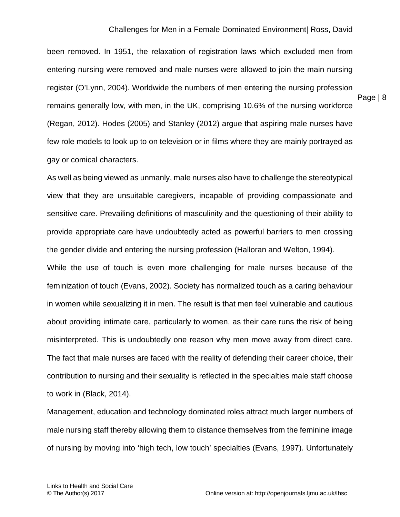Page | 8

been removed. In 1951, the relaxation of registration laws which excluded men from entering nursing were removed and male nurses were allowed to join the main nursing register (O'Lynn, 2004). Worldwide the numbers of men entering the nursing profession remains generally low, with men, in the UK, comprising 10.6% of the nursing workforce (Regan, 2012). Hodes (2005) and Stanley (2012) argue that aspiring male nurses have few role models to look up to on television or in films where they are mainly portrayed as gay or comical characters.

As well as being viewed as unmanly, male nurses also have to challenge the stereotypical view that they are unsuitable caregivers, incapable of providing compassionate and sensitive care. Prevailing definitions of masculinity and the questioning of their ability to provide appropriate care have undoubtedly acted as powerful barriers to men crossing the gender divide and entering the nursing profession (Halloran and Welton, 1994). While the use of touch is even more challenging for male nurses because of the feminization of touch (Evans, 2002). Society has normalized touch as a caring behaviour in women while sexualizing it in men. The result is that men feel vulnerable and cautious about providing intimate care, particularly to women, as their care runs the risk of being misinterpreted. This is undoubtedly one reason why men move away from direct care. The fact that male nurses are faced with the reality of defending their career choice, their contribution to nursing and their sexuality is reflected in the specialties male staff choose to work in (Black, 2014).

Management, education and technology dominated roles attract much larger numbers of male nursing staff thereby allowing them to distance themselves from the feminine image of nursing by moving into 'high tech, low touch' specialties (Evans, 1997). Unfortunately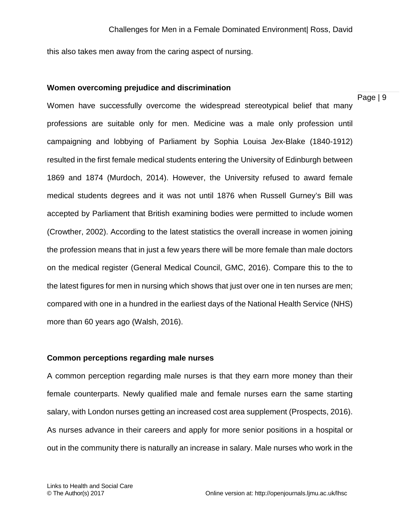this also takes men away from the caring aspect of nursing.

#### **Women overcoming prejudice and discrimination**

Page | 9

Women have successfully overcome the widespread stereotypical belief that many professions are suitable only for men. Medicine was a male only profession until campaigning and lobbying of Parliament by Sophia Louisa Jex-Blake (1840-1912) resulted in the first female medical students entering the University of Edinburgh between 1869 and 1874 (Murdoch, 2014). However, the University refused to award female medical students degrees and it was not until 1876 when Russell Gurney's Bill was accepted by Parliament that British examining bodies were permitted to include women (Crowther, 2002). According to the latest statistics the overall increase in women joining the profession means that in just a few years there will be more female than male doctors on the medical register (General Medical Council, GMC, 2016). Compare this to the to the latest figures for men in nursing which shows that just over one in ten nurses are men; compared with one in a hundred in the earliest days of the National Health Service (NHS) more than 60 years ago (Walsh, 2016).

#### **Common perceptions regarding male nurses**

A common perception regarding male nurses is that they earn more money than their female counterparts. Newly qualified male and female nurses earn the same starting salary, with London nurses getting an increased cost area supplement (Prospects, 2016). As nurses advance in their careers and apply for more senior positions in a hospital or out in the community there is naturally an increase in salary. Male nurses who work in the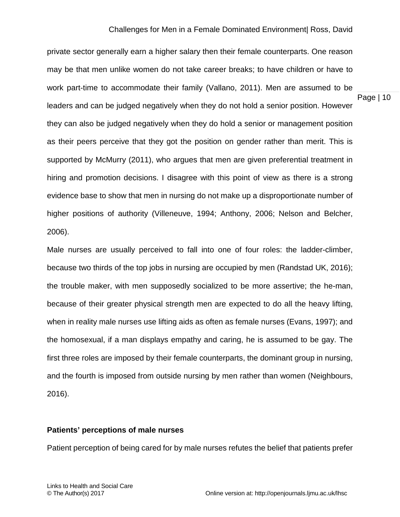private sector generally earn a higher salary then their female counterparts. One reason may be that men unlike women do not take career breaks; to have children or have to work part-time to accommodate their family (Vallano, 2011). Men are assumed to be leaders and can be judged negatively when they do not hold a senior position. However they can also be judged negatively when they do hold a senior or management position as their peers perceive that they got the position on gender rather than merit. This is supported by McMurry (2011), who argues that men are given preferential treatment in hiring and promotion decisions. I disagree with this point of view as there is a strong evidence base to show that men in nursing do not make up a disproportionate number of higher positions of authority (Villeneuve, 1994; Anthony, 2006; Nelson and Belcher, 2006).

Male nurses are usually perceived to fall into one of four roles: the ladder-climber, because two thirds of the top jobs in nursing are occupied by men (Randstad UK, 2016); the trouble maker, with men supposedly socialized to be more assertive; the he-man, because of their greater physical strength men are expected to do all the heavy lifting, when in reality male nurses use lifting aids as often as female nurses (Evans, 1997); and the homosexual, if a man displays empathy and caring, he is assumed to be gay. The first three roles are imposed by their female counterparts, the dominant group in nursing, and the fourth is imposed from outside nursing by men rather than women (Neighbours, 2016).

#### **Patients' perceptions of male nurses**

Patient perception of being cared for by male nurses refutes the belief that patients prefer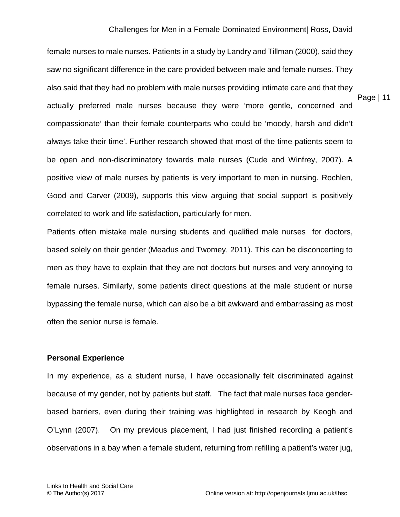Page | 11

female nurses to male nurses. Patients in a study by Landry and Tillman (2000), said they saw no significant difference in the care provided between male and female nurses. They also said that they had no problem with male nurses providing intimate care and that they actually preferred male nurses because they were 'more gentle, concerned and compassionate' than their female counterparts who could be 'moody, harsh and didn't always take their time'. Further research showed that most of the time patients seem to be open and non-discriminatory towards male nurses (Cude and Winfrey, 2007). A positive view of male nurses by patients is very important to men in nursing. Rochlen, Good and Carver (2009), supports this view arguing that social support is positively correlated to work and life satisfaction, particularly for men.

Patients often mistake male nursing students and qualified male nurses for doctors, based solely on their gender (Meadus and Twomey, 2011). This can be disconcerting to men as they have to explain that they are not doctors but nurses and very annoying to female nurses. Similarly, some patients direct questions at the male student or nurse bypassing the female nurse, which can also be a bit awkward and embarrassing as most often the senior nurse is female.

#### **Personal Experience**

In my experience, as a student nurse, I have occasionally felt discriminated against because of my gender, not by patients but staff. The fact that male nurses face genderbased barriers, even during their training was highlighted in research by Keogh and O'Lynn (2007). On my previous placement, I had just finished recording a patient's observations in a bay when a female student, returning from refilling a patient's water jug,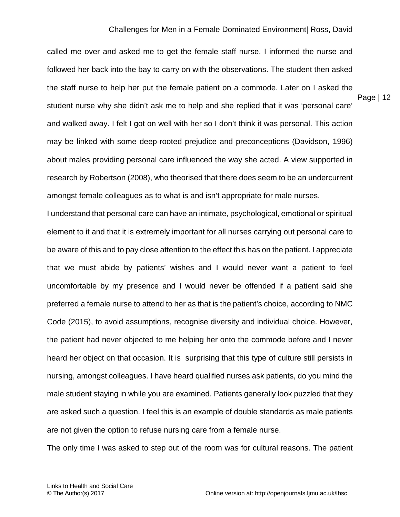Page | 12

called me over and asked me to get the female staff nurse. I informed the nurse and followed her back into the bay to carry on with the observations. The student then asked the staff nurse to help her put the female patient on a commode. Later on I asked the student nurse why she didn't ask me to help and she replied that it was 'personal care' and walked away. I felt I got on well with her so I don't think it was personal. This action may be linked with some deep-rooted prejudice and preconceptions (Davidson, 1996) about males providing personal care influenced the way she acted. A view supported in research by Robertson (2008), who theorised that there does seem to be an undercurrent amongst female colleagues as to what is and isn't appropriate for male nurses.

I understand that personal care can have an intimate, psychological, emotional or spiritual element to it and that it is extremely important for all nurses carrying out personal care to be aware of this and to pay close attention to the effect this has on the patient. I appreciate that we must abide by patients' wishes and I would never want a patient to feel uncomfortable by my presence and I would never be offended if a patient said she preferred a female nurse to attend to her as that is the patient's choice, according to NMC Code (2015), to avoid assumptions, recognise diversity and individual choice. However, the patient had never objected to me helping her onto the commode before and I never heard her object on that occasion. It is surprising that this type of culture still persists in nursing, amongst colleagues. I have heard qualified nurses ask patients, do you mind the male student staying in while you are examined. Patients generally look puzzled that they are asked such a question. I feel this is an example of double standards as male patients are not given the option to refuse nursing care from a female nurse.

The only time I was asked to step out of the room was for cultural reasons. The patient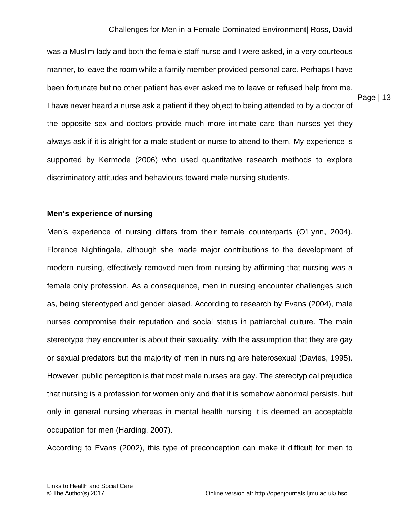was a Muslim lady and both the female staff nurse and I were asked, in a very courteous manner, to leave the room while a family member provided personal care. Perhaps I have been fortunate but no other patient has ever asked me to leave or refused help from me. I have never heard a nurse ask a patient if they object to being attended to by a doctor of the opposite sex and doctors provide much more intimate care than nurses yet they always ask if it is alright for a male student or nurse to attend to them. My experience is supported by Kermode (2006) who used quantitative research methods to explore discriminatory attitudes and behaviours toward male nursing students.

#### **Men's experience of nursing**

Men's experience of nursing differs from their female counterparts (O'Lynn, 2004). Florence Nightingale, although she made major contributions to the development of modern nursing, effectively removed men from nursing by affirming that nursing was a female only profession. As a consequence, men in nursing encounter challenges such as, being stereotyped and gender biased. According to research by Evans (2004), male nurses compromise their reputation and social status in patriarchal culture. The main stereotype they encounter is about their sexuality, with the assumption that they are gay or sexual predators but the majority of men in nursing are heterosexual (Davies, 1995). However, public perception is that most male nurses are gay. The stereotypical prejudice that nursing is a profession for women only and that it is somehow abnormal persists, but only in general nursing whereas in mental health nursing it is deemed an acceptable occupation for men (Harding, 2007).

According to Evans (2002), this type of preconception can make it difficult for men to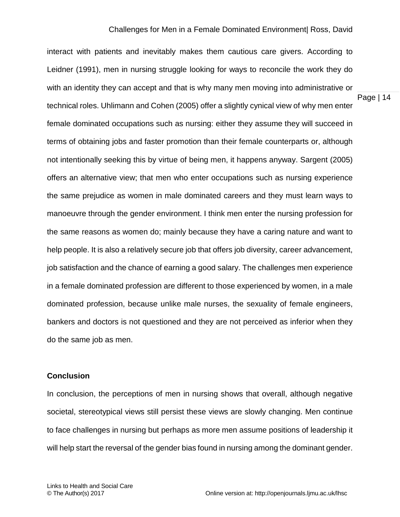interact with patients and inevitably makes them cautious care givers. According to Leidner (1991), men in nursing struggle looking for ways to reconcile the work they do with an identity they can accept and that is why many men moving into administrative or technical roles. Uhlimann and Cohen (2005) offer a slightly cynical view of why men enter female dominated occupations such as nursing: either they assume they will succeed in terms of obtaining jobs and faster promotion than their female counterparts or, although not intentionally seeking this by virtue of being men, it happens anyway. Sargent (2005) offers an alternative view; that men who enter occupations such as nursing experience the same prejudice as women in male dominated careers and they must learn ways to manoeuvre through the gender environment. I think men enter the nursing profession for the same reasons as women do; mainly because they have a caring nature and want to help people. It is also a relatively secure job that offers job diversity, career advancement, job satisfaction and the chance of earning a good salary. The challenges men experience in a female dominated profession are different to those experienced by women, in a male dominated profession, because unlike male nurses, the sexuality of female engineers, bankers and doctors is not questioned and they are not perceived as inferior when they do the same job as men.

#### **Conclusion**

In conclusion, the perceptions of men in nursing shows that overall, although negative societal, stereotypical views still persist these views are slowly changing. Men continue to face challenges in nursing but perhaps as more men assume positions of leadership it will help start the reversal of the gender bias found in nursing among the dominant gender.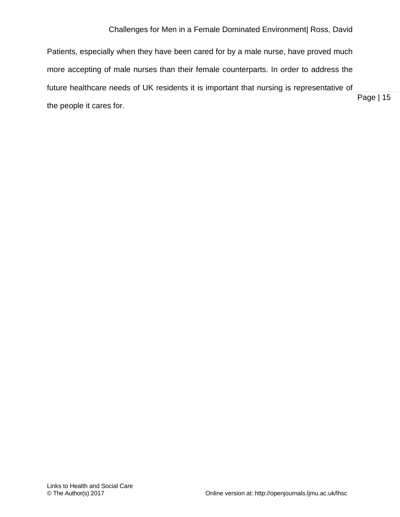Page | 15 Patients, especially when they have been cared for by a male nurse, have proved much more accepting of male nurses than their female counterparts. In order to address the future healthcare needs of UK residents it is important that nursing is representative of the people it cares for.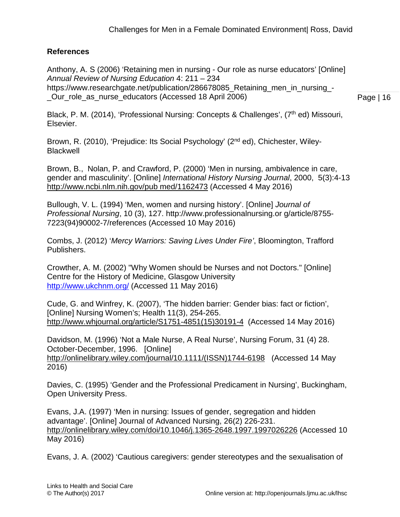# **References**

Anthony, A. S (2006) 'Retaining men in nursing - Our role as nurse educators' [Online] *Annual Review of Nursing Education* 4: 211 – 234 https://www.researchgate.net/publication/286678085 Retaining men in nursing -Our role as nurse educators (Accessed 18 April 2006)

Page | 16

Black, P. M. (2014), 'Professional Nursing: Concepts & Challenges', (7<sup>th</sup> ed) Missouri, Elsevier.

Brown, R. (2010), 'Prejudice: Its Social Psychology' (2nd ed), Chichester, Wiley-**Blackwell** 

Brown, B., Nolan, P. and Crawford, P. (2000) 'Men in nursing, ambivalence in care, gender and masculinity'. [Online] *International History Nursing Journal*, 2000, 5(3):4-13 [http://www.ncbi.nlm.nih.gov/pub med/1162473](http://www.ncbi.nlm.nih.gov/pub%20med/1162473) (Accessed 4 May 2016)

Bullough, V. L. (1994) 'Men, women and nursing history'. [Online] *Journal of Professional Nursing*, 10 (3), 127. http://www.professionalnursing.or g/article/8755- 7223(94)90002-7/references (Accessed 10 May 2016)

Combs, J. (2012) '*Mercy Warriors: Saving Lives Under Fire'*, Bloomington, Trafford Publishers.

Crowther, A. M. (2002) "Why Women should be Nurses and not Doctors." [Online] Centre for the History of Medicine, Glasgow Universit[y](http://www.ukchnm.org/)  <http://www.ukchnm.org/> (Accessed 11 May 2016)

Cude, G. and Winfrey, K. (2007), 'The hidden barrier: Gender bias: fact or fiction', [Online] Nursing Women's; Health 11(3), 254-265. [http://www.whjournal.org/article/S1751-4851\(15\)30191-4](http://www.whjournal.org/article/S1751-4851(15)30191-4) (Accessed 14 May 2016)

Davidson, M. (1996) 'Not a Male Nurse, A Real Nurse', Nursing Forum, 31 (4) 28. October-December, 1996. [Online] [http://onlinelibrary.wiley.com/journal/10.1111/\(ISSN\)1744-6198](http://onlinelibrary.wiley.com/journal/10.1111/(ISSN)1744-6198) (Accessed 14 May 2016)

Davies, C. (1995) 'Gender and the Professional Predicament in Nursing', Buckingham, Open University Press.

Evans, J.A. (1997) 'Men in nursing: Issues of gender, segregation and hidden advantage'. [Online] Journal of Advanced Nursing, 26(2) 226-231. <http://onlinelibrary.wiley.com/doi/10.1046/j.1365-2648.1997.1997026226> (Accessed 10 May 2016)

Evans, J. A. (2002) 'Cautious caregivers: gender stereotypes and the sexualisation of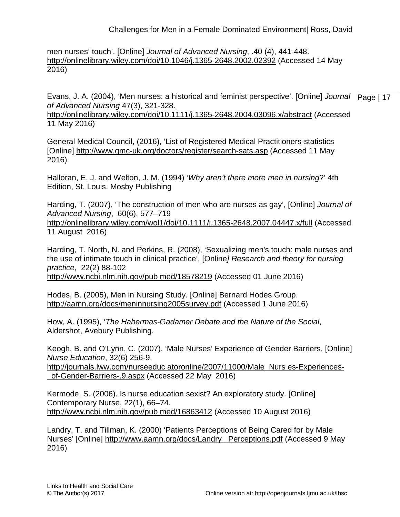men nurses' touch'. [Online] *Journal of Advanced Nursing*, .40 (4), 441-448. <http://onlinelibrary.wiley.com/doi/10.1046/j.1365-2648.2002.02392> (Accessed 14 May 2016)

Evans, J. A. (2004), 'Men nurses: a historical and feminist perspective'. [Online] *Journal* Page | 17 *of Advanced Nursing* 47(3), 321-328.

<http://onlinelibrary.wiley.com/doi/10.1111/j.1365-2648.2004.03096.x/abstract> (Accessed 11 May 2016)

General Medical Council, (2016), 'List of Registered Medical Practitioners-statistics [Online]<http://www.gmc-uk.org/doctors/register/search-sats.asp> (Accessed 11 May 2016)

Halloran, E. J. and Welton, J. M. (1994) '*Why aren't there more men in nursing*?' 4th Edition, St. Louis, Mosby Publishing

Harding, T. (2007), 'The construction of men who are nurses as gay', [Online] *Journal of Advanced Nursing*, 60(6), 577–719 <http://onlinelibrary.wiley.com/wol1/doi/10.1111/j.1365-2648.2007.04447.x/full> (Accessed 11 August 2016)

Harding, T. North, N. and Perkins, R. (2008), 'Sexualizing men's touch: male nurses and the use of intimate touch in clinical practice', [Online*] Research and theory for nursing practice*, 22(2) 88-102

[http://www.ncbi.nlm.nih.gov/pub med/18578219](http://www.ncbi.nlm.nih.gov/pub%20med/18578219) (Accessed 01 June 2016)

Hodes, B. (2005), Men in Nursing Study. [Online] Bernard Hodes Group. <http://aamn.org/docs/meninnursing2005survey.pdf> (Accessed 1 June 2016)

How, A. (1995), '*The Habermas-Gadamer Debate and the Nature of the Social*, Aldershot, Avebury Publishing.

Keogh, B. and O'Lynn, C. (2007), 'Male Nurses' Experience of Gender Barriers, [Online] *Nurse Education*, 32(6) 256-9.

[http://journals.lww.com/nurseeduc atoronline/2007/11000/Male\\_Nurs es-Experiences-](http://journals.lww.com/nurseeduc%20atoronline/2007/11000/Male_Nurs%20es-Experiences-_of-Gender-Barriers-.9.aspx) [\\_of-Gender-Barriers-.9.aspx](http://journals.lww.com/nurseeduc%20atoronline/2007/11000/Male_Nurs%20es-Experiences-_of-Gender-Barriers-.9.aspx) (Accessed 22 May 2016)

Kermode, S. (2006). Is nurse education sexist? An exploratory study. [Online] Contemporary Nurse, 22(1), 66–74. [http://www.ncbi.nlm.nih.gov/pub med/16863412](http://www.ncbi.nlm.nih.gov/pub%20med/16863412) (Accessed 10 August 2016)

Landry, T. and Tillman, K. (2000) 'Patients Perceptions of Being Cared for by Male Nurses' [Online] [http://www.aamn.org/docs/Landry](http://www.aamn.org/docs/Landry%20_Perceptions.pdf) \_Perceptions.pdf (Accessed 9 May 2016)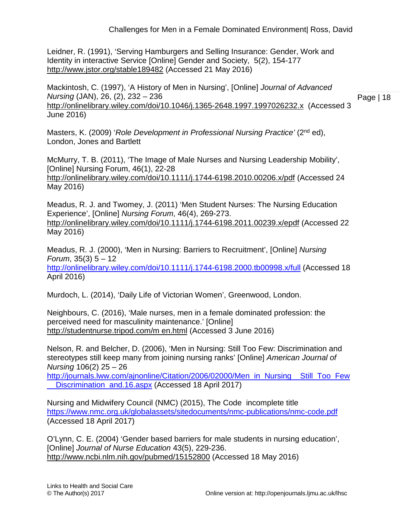Leidner, R. (1991), 'Serving Hamburgers and Selling Insurance: Gender, Work and Identity in interactive Service [Online] Gender and Society, 5(2), 154-177 <http://www.jstor.org/stable189482> (Accessed 21 May 2016)

Mackintosh, C. (1997), 'A History of Men in Nursing', [Online] *Journal of Advanced Nursing* (JAN), 26, (2), 232 – 236 <http://onlinelibrary.wiley.com/doi/10.1046/j.1365-2648.1997.1997026232.x>(Accessed 3

Page | 18

Masters, K. (2009) '*Role Development in Professional Nursing Practice'* (2nd ed), London, Jones and Bartlett

McMurry, T. B. (2011), 'The Image of Male Nurses and Nursing Leadership Mobility', [Online] Nursing Forum, 46(1), 22-28 <http://onlinelibrary.wiley.com/doi/10.1111/j.1744-6198.2010.00206.x/pdf> (Accessed 24 May 2016)

Meadus, R. J. and Twomey, J. (2011) 'Men Student Nurses: The Nursing Education Experience', [Online] *Nursing Forum*, 46(4), 269-273. <http://onlinelibrary.wiley.com/doi/10.1111/j.1744-6198.2011.00239.x/epdf> (Accessed 22 May 2016)

Meadus, R. J. (2000), 'Men in Nursing: Barriers to Recruitment', [Online] *Nursing Forum*, 35(3) 5 – 12 <http://onlinelibrary.wiley.com/doi/10.1111/j.1744-6198.2000.tb00998.x/full> (Accessed 18 April 2016)

Murdoch, L. (2014), 'Daily Life of Victorian Women', Greenwood, London.

Neighbours, C. (2016), 'Male nurses, men in a female dominated profession: the perceived need for masculinity maintenance.' [Online] [http://studentnurse.tripod.com/m en.html](http://studentnurse.tripod.com/m%20en.html) (Accessed 3 June 2016)

Nelson, R. and Belcher, D. (2006), 'Men in Nursing: Still Too Few: Discrimination and stereotypes still keep many from joining nursing ranks' [Online] *American Journal of Nursing* 106(2) 25 – 26

[http://journals.lww.com/ajnonline/Citation/2006/02000/Men\\_in\\_Nursing\\_\\_Still\\_Too\\_Few](http://journals.lww.com/ajnonline/Citation/2006/02000/Men_in_Nursing__Still_Too_Few__Discrimination_and.16.aspx) [\\_\\_Discrimination\\_and.16.aspx](http://journals.lww.com/ajnonline/Citation/2006/02000/Men_in_Nursing__Still_Too_Few__Discrimination_and.16.aspx) (Accessed 18 April 2017)

Nursing and Midwifery Council (NMC) (2015), The Code incomplete title <https://www.nmc.org.uk/globalassets/sitedocuments/nmc-publications/nmc-code.pdf> (Accessed 18 April 2017)

O'Lynn, C. E. (2004) 'Gender based barriers for male students in nursing education', [Online] *Journal of Nurse Education* 43(5), 229-236. <http://www.ncbi.nlm.nih.gov/pubmed/15152800> (Accessed 18 May 2016)

June 2016)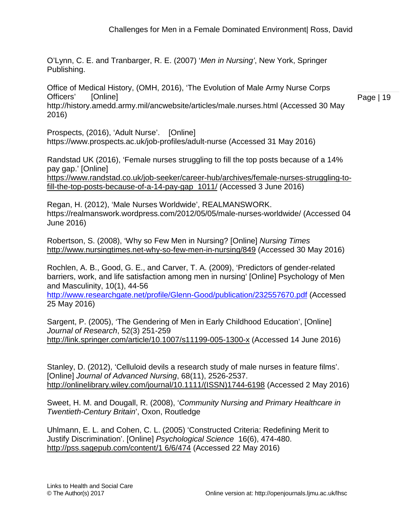O'Lynn, C. E. and Tranbarger, R. E. (2007) '*Men in Nursing'*, New York, Springer Publishing.

Office of Medical History, (OMH, 2016), 'The Evolution of Male Army Nurse Corps Officers' [Online]

http://history.amedd.army.mil/ancwebsite/articles/male.nurses.html (Accessed 30 May 2016)

Prospects, (2016), 'Adult Nurse'. [Online]

https://www.prospects.ac.uk/job-profiles/adult-nurse (Accessed 31 May 2016)

Randstad UK (2016), 'Female nurses struggling to fill the top posts because of a 14% pay gap.' [Online]

[https://www.randstad.co.uk/job-seeker/career-hub/archives/female-nurses-struggling-to](https://www.randstad.co.uk/job-seeker/career-hub/archives/female-nurses-struggling-to-fill-the-top-posts-because-of-a-14-pay-gap_1011/)[fill-the-top-posts-because-of-a-14-pay-gap\\_1011/](https://www.randstad.co.uk/job-seeker/career-hub/archives/female-nurses-struggling-to-fill-the-top-posts-because-of-a-14-pay-gap_1011/) (Accessed 3 June 2016)

Regan, H. (2012), 'Male Nurses Worldwide', REALMANSWORK. https://realmanswork.wordpress.com/2012/05/05/male-nurses-worldwide/ (Accessed 04 June 2016)

Robertson, S. (2008), 'Why so Few Men in Nursing? [Online] *Nursing Times* <http://www.nursingtimes.net-why-so-few-men-in-nursing/849> (Accessed 30 May 2016)

Rochlen, A. B., Good, G. E., and Carver, T. A. (2009), 'Predictors of gender-related barriers, work, and life satisfaction among men in nursing' [Online] Psychology of Men and Masculinity, 10(1), 44-56

<http://www.researchgate.net/profile/Glenn-Good/publication/232557670.pdf> (Accessed 25 May 2016)

Sargent, P. (2005), 'The Gendering of Men in Early Childhood Education', [Online] *Journal of Research*, 52(3) 251-259 <http://link.springer.com/article/10.1007/s11199-005-1300-x> (Accessed 14 June 2016)

Stanley, D. (2012), 'Celluloid devils a research study of male nurses in feature films'. [Online] *Journal of Advanced Nursing*, 68(11), 2526-2537. [http://onlinelibrary.wiley.com/journal/10.1111/\(ISSN\)1744-6198](http://onlinelibrary.wiley.com/journal/10.1111/(ISSN)1744-6198) (Accessed 2 May 2016)

Sweet, H. M. and Dougall, R. (2008), '*Community Nursing and Primary Healthcare in Twentieth-Century Britain*', Oxon, Routledge

Uhlmann, E. L. and Cohen, C. L. (2005) 'Constructed Criteria: Redefining Merit to Justify Discrimination'. [Online] *Psychological Science* 16(6), 474-480. [http://pss.sagepub.com/content/1 6/6/474](http://pss.sagepub.com/content/1%206/6/474) (Accessed 22 May 2016)